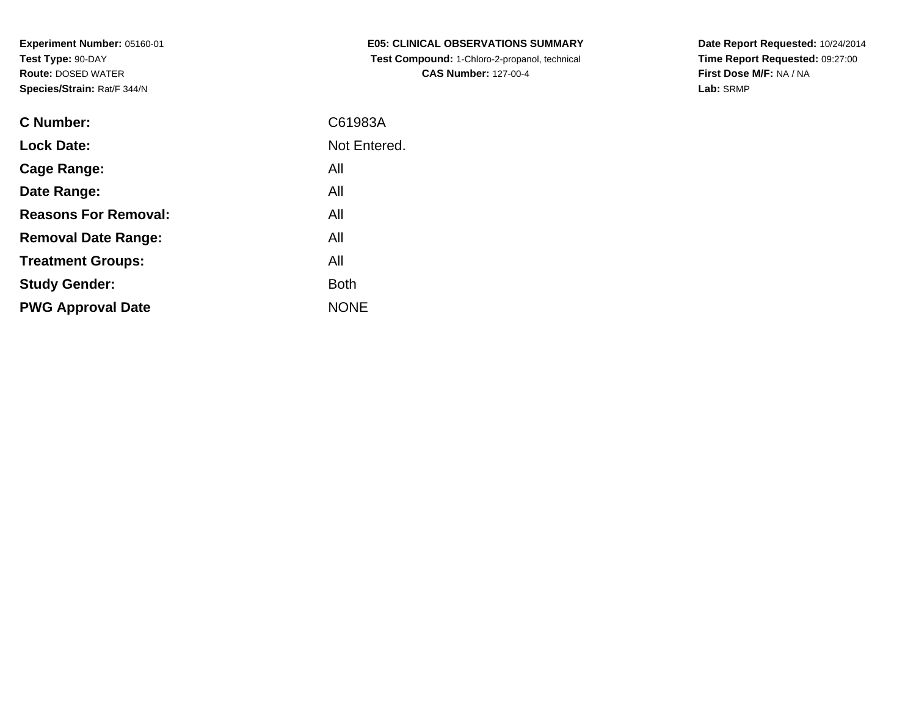| <b>E05: CLINICAL OBSERVATIONS SUMMARY</b>            |
|------------------------------------------------------|
| <b>Test Compound: 1-Chloro-2-propanol, technical</b> |
| <b>CAS Number: 127-00-4</b>                          |

**Date Report Requested:** 10/24/2014 **Time Report Requested:** 09:27:00**First Dose M/F:** NA / NA**Lab:** SRMP

| C Number:                   | C61983A      |
|-----------------------------|--------------|
| <b>Lock Date:</b>           | Not Entered. |
| Cage Range:                 | All          |
| Date Range:                 | All          |
| <b>Reasons For Removal:</b> | All          |
| <b>Removal Date Range:</b>  | All          |
| <b>Treatment Groups:</b>    | All          |
| <b>Study Gender:</b>        | <b>Both</b>  |
| <b>PWG Approval Date</b>    | <b>NONE</b>  |
|                             |              |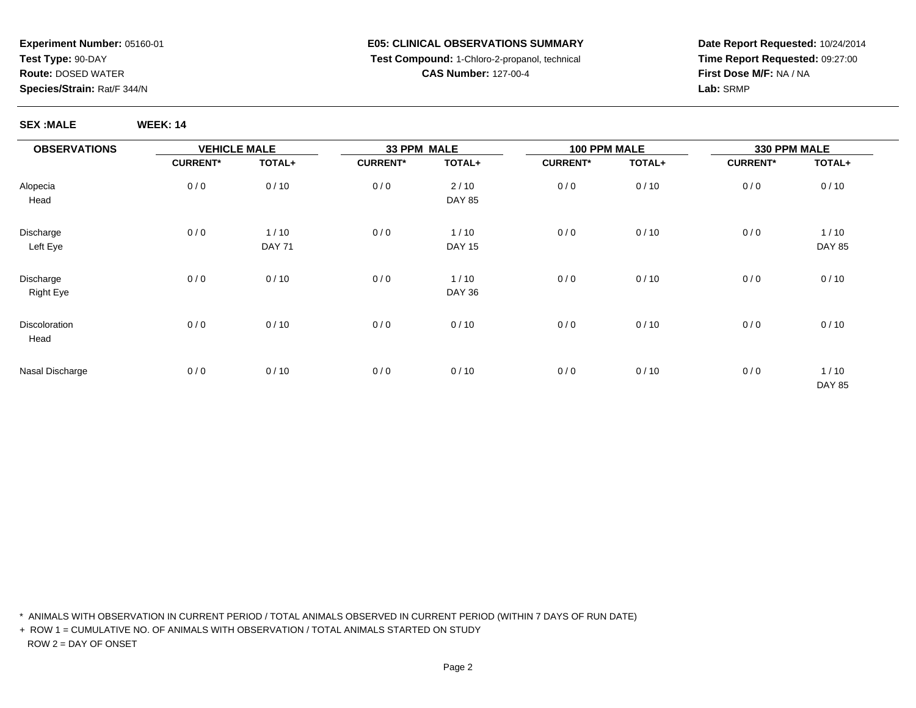#### **E05: CLINICAL OBSERVATIONS SUMMARY Test Compound:** 1-Chloro-2-propanol, technical **CAS Number:** 127-00-4

**Date Report Requested:** 10/24/2014**Time Report Requested:** 09:27:00**First Dose M/F:** NA / NA**Lab:** SRMP

**SEX :MALE WEEK: 14**

| <b>OBSERVATIONS</b>           | <b>VEHICLE MALE</b> |                       | 33 PPM MALE     |                       | 100 PPM MALE    |        | 330 PPM MALE    |                       |
|-------------------------------|---------------------|-----------------------|-----------------|-----------------------|-----------------|--------|-----------------|-----------------------|
|                               | <b>CURRENT*</b>     | TOTAL+                | <b>CURRENT*</b> | TOTAL+                | <b>CURRENT*</b> | TOTAL+ | <b>CURRENT*</b> | TOTAL+                |
| Alopecia<br>Head              | 0/0                 | 0/10                  | 0/0             | 2/10<br><b>DAY 85</b> | 0/0             | 0/10   | 0/0             | 0/10                  |
| Discharge<br>Left Eye         | 0/0                 | 1/10<br><b>DAY 71</b> | 0/0             | 1/10<br><b>DAY 15</b> | 0/0             | 0/10   | 0/0             | 1/10<br><b>DAY 85</b> |
| Discharge<br><b>Right Eye</b> | 0/0                 | 0/10                  | 0/0             | 1/10<br><b>DAY 36</b> | 0/0             | 0/10   | 0/0             | 0/10                  |
| Discoloration<br>Head         | 0/0                 | 0/10                  | 0/0             | 0/10                  | 0/0             | 0/10   | 0/0             | 0/10                  |
| Nasal Discharge               | 0/0                 | 0/10                  | 0/0             | 0/10                  | 0/0             | 0/10   | 0/0             | 1/10<br><b>DAY 85</b> |

\* ANIMALS WITH OBSERVATION IN CURRENT PERIOD / TOTAL ANIMALS OBSERVED IN CURRENT PERIOD (WITHIN 7 DAYS OF RUN DATE)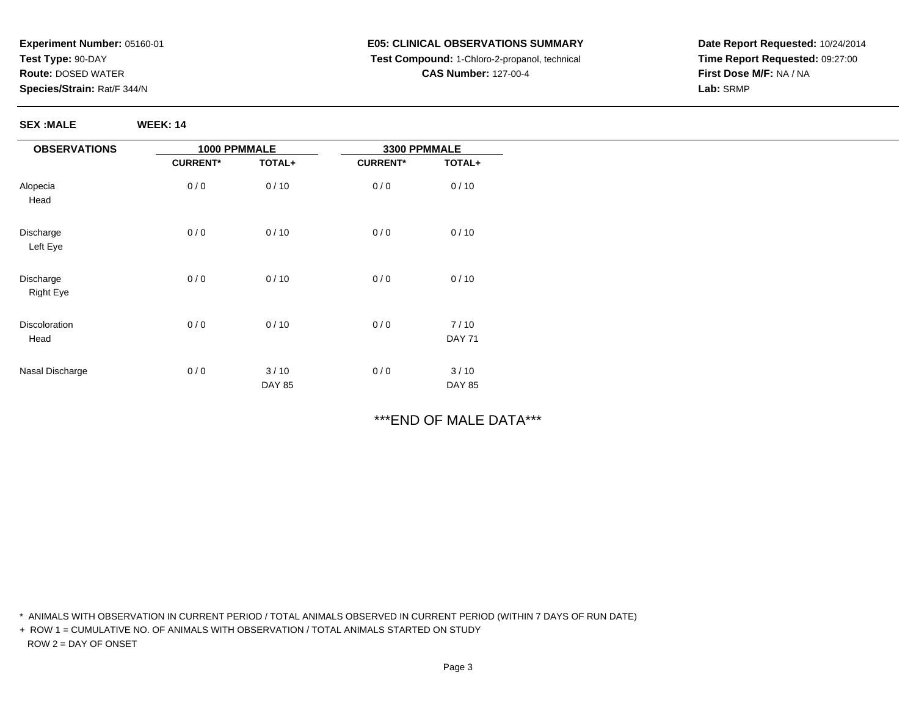**SEX :MALE WEEK: 14**

# **E05: CLINICAL OBSERVATIONS SUMMARY Test Compound:** 1-Chloro-2-propanol, technical **CAS Number:** 127-00-4

**Date Report Requested:** 10/24/2014**Time Report Requested:** 09:27:00**First Dose M/F:** NA / NA**Lab:** SRMP

| <b>OBSERVATIONS</b>           | 1000 PPMMALE    |                       | 3300 PPMMALE    |                       |
|-------------------------------|-----------------|-----------------------|-----------------|-----------------------|
|                               | <b>CURRENT*</b> | TOTAL+                | <b>CURRENT*</b> | TOTAL+                |
| Alopecia<br>Head              | 0/0             | 0/10                  | 0/0             | 0/10                  |
| Discharge<br>Left Eye         | 0/0             | 0/10                  | 0/0             | 0/10                  |
| Discharge<br><b>Right Eye</b> | 0/0             | 0/10                  | 0/0             | 0/10                  |
| Discoloration<br>Head         | 0/0             | 0/10                  | 0/0             | 7/10<br><b>DAY 71</b> |
| Nasal Discharge               | 0/0             | 3/10<br><b>DAY 85</b> | 0/0             | 3/10<br><b>DAY 85</b> |

# \*\*\*END OF MALE DATA\*\*\*

\* ANIMALS WITH OBSERVATION IN CURRENT PERIOD / TOTAL ANIMALS OBSERVED IN CURRENT PERIOD (WITHIN 7 DAYS OF RUN DATE)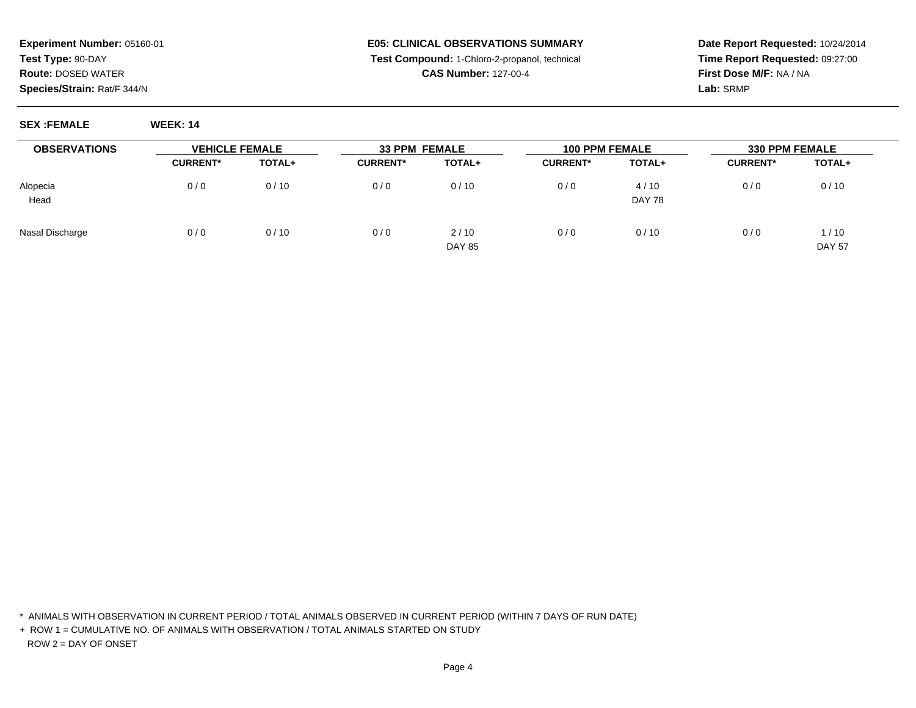### **E05: CLINICAL OBSERVATIONS SUMMARY Test Compound:** 1-Chloro-2-propanol, technical **CAS Number:** 127-00-4

**Date Report Requested:** 10/24/2014**Time Report Requested:** 09:27:00**First Dose M/F:** NA / NA**Lab:** SRMP

**SEX :FEMALE WEEK: 14**

| <b>OBSERVATIONS</b> | <b>VEHICLE FEMALE</b> |               | <b>33 PPM FEMALE</b> |                       | <b>100 PPM FEMALE</b> |                       | <b>330 PPM FEMALE</b> |                         |
|---------------------|-----------------------|---------------|----------------------|-----------------------|-----------------------|-----------------------|-----------------------|-------------------------|
|                     | <b>CURRENT*</b>       | <b>TOTAL+</b> | <b>CURRENT*</b>      | TOTAL+                | <b>CURRENT*</b>       | TOTAL+                | <b>CURRENT*</b>       | <b>TOTAL+</b>           |
| Alopecia<br>Head    | 0/0                   | 0/10          | 0/0                  | 0/10                  | 0/0                   | 4/10<br><b>DAY 78</b> | 0/0                   | 0/10                    |
| Nasal Discharge     | 0/0                   | 0/10          | 0/0                  | 2/10<br><b>DAY 85</b> | 0/0                   | 0/10                  | 0/0                   | 1 / 10<br><b>DAY 57</b> |

\* ANIMALS WITH OBSERVATION IN CURRENT PERIOD / TOTAL ANIMALS OBSERVED IN CURRENT PERIOD (WITHIN 7 DAYS OF RUN DATE)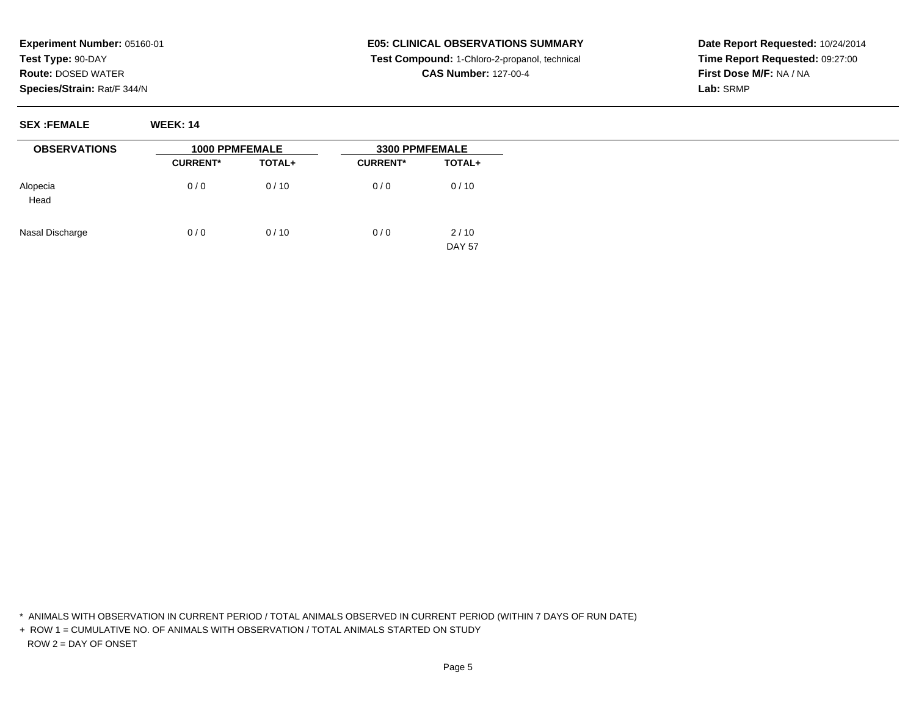# **E05: CLINICAL OBSERVATIONS SUMMARY Test Compound:** 1-Chloro-2-propanol, technical **CAS Number:** 127-00-4

**Date Report Requested:** 10/24/2014**Time Report Requested:** 09:27:00**First Dose M/F:** NA / NA**Lab:** SRMP

**SEX :FEMALE WEEK: 14**

| <b>OBSERVATIONS</b> | <b>1000 PPMFEMALE</b> |               | 3300 PPMFEMALE  |                       |  |
|---------------------|-----------------------|---------------|-----------------|-----------------------|--|
|                     | <b>CURRENT*</b>       | <b>TOTAL+</b> | <b>CURRENT*</b> | TOTAL+                |  |
| Alopecia<br>Head    | 0/0                   | 0/10          | 0/0             | 0/10                  |  |
| Nasal Discharge     | 0/0                   | 0/10          | 0/0             | 2/10<br><b>DAY 57</b> |  |

\* ANIMALS WITH OBSERVATION IN CURRENT PERIOD / TOTAL ANIMALS OBSERVED IN CURRENT PERIOD (WITHIN 7 DAYS OF RUN DATE)